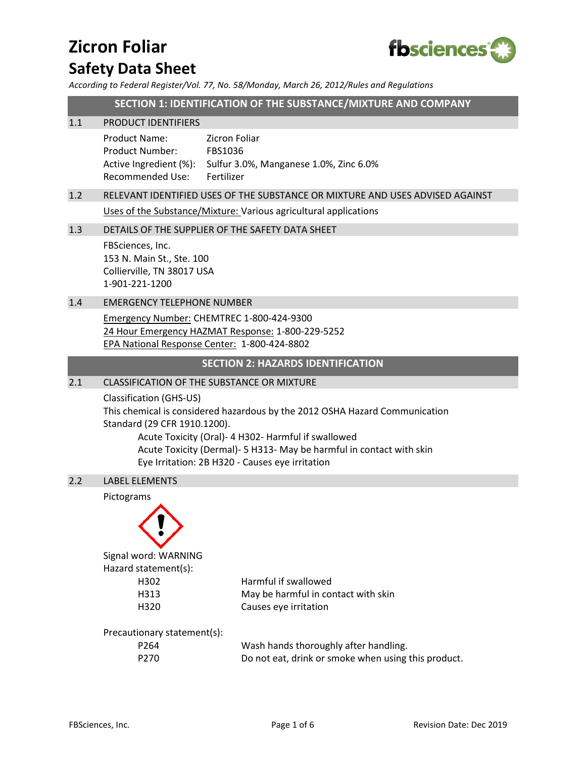# **Zicron Foliar Safety Data Sheet**



*According to Federal Register/Vol. 77, No. 58/Monday, March 26, 2012/Rules and Regulations*

**SECTION 1: IDENTIFICATION OF THE SUBSTANCE/MIXTURE AND COMPANY**

#### 1.1 PRODUCT IDENTIFIERS

Product Name: Zicron Foliar Product Number: FBS1036 Active Ingredient (%): Sulfur 3.0%, Manganese 1.0%, Zinc 6.0% Recommended Use: Fertilizer

# 1.2 RELEVANT IDENTIFIED USES OF THE SUBSTANCE OR MIXTURE AND USES ADVISED AGAINST

Uses of the Substance/Mixture: Various agricultural applications

#### 1.3 DETAILS OF THE SUPPLIER OF THE SAFETY DATA SHEET

FBSciences, Inc. 153 N. Main St., Ste. 100 Collierville, TN 38017 USA 1-901-221-1200

# 1.4 EMERGENCY TELEPHONE NUMBER

Emergency Number: CHEMTREC 1-800-424-9300 24 Hour Emergency HAZMAT Response: 1-800-229-5252 EPA National Response Center: 1-800-424-8802

### **SECTION 2: HAZARDS IDENTIFICATION**

#### 2.1 CLASSIFICATION OF THE SUBSTANCE OR MIXTURE

Classification (GHS-US) This chemical is considered hazardous by the 2012 OSHA Hazard Communication Standard (29 CFR 1910.1200). Acute Toxicity (Oral)- 4 H302- Harmful if swallowed

Acute Toxicity (Dermal)- 5 H313- May be harmful in contact with skin Eye Irritation: 2B H320 - Causes eye irritation

### 2.2 LABEL ELEMENTS

# Pictograms



Signal word: WARNING Hazard statement(s):

H302 Harmful if swallowed H313 May be harmful in contact with skin H320 Causes eye irritation

Precautionary statement(s):

| P <sub>264</sub> | Wash hands thoroughly after handling.               |
|------------------|-----------------------------------------------------|
| P270             | Do not eat, drink or smoke when using this product. |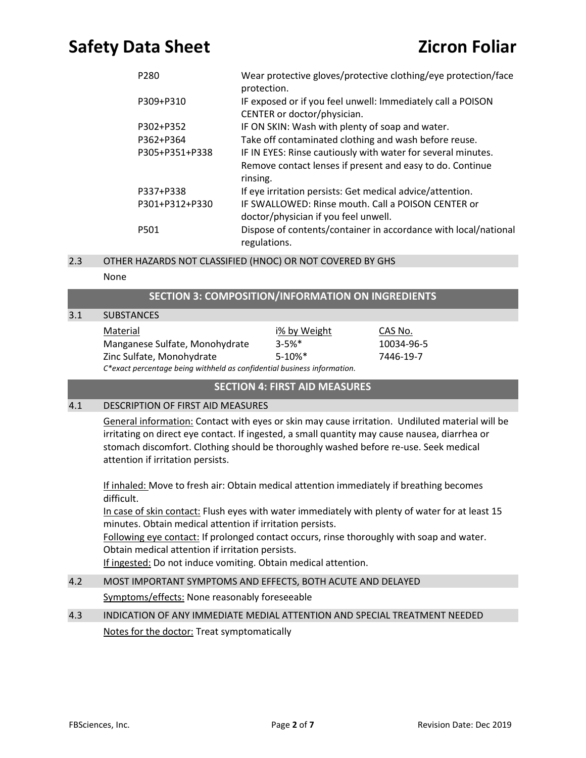| P <sub>280</sub> | Wear protective gloves/protective clothing/eye protection/face<br>protection.                                                         |
|------------------|---------------------------------------------------------------------------------------------------------------------------------------|
| P309+P310        | IF exposed or if you feel unwell: Immediately call a POISON<br>CENTER or doctor/physician.                                            |
| P302+P352        | IF ON SKIN: Wash with plenty of soap and water.                                                                                       |
| P362+P364        | Take off contaminated clothing and wash before reuse.                                                                                 |
| P305+P351+P338   | IF IN EYES: Rinse cautiously with water for several minutes.<br>Remove contact lenses if present and easy to do. Continue<br>rinsing. |
| P337+P338        | If eye irritation persists: Get medical advice/attention.                                                                             |
| P301+P312+P330   | IF SWALLOWED: Rinse mouth. Call a POISON CENTER or<br>doctor/physician if you feel unwell.                                            |
| P <sub>501</sub> | Dispose of contents/container in accordance with local/national<br>regulations.                                                       |
|                  |                                                                                                                                       |

### 2.3 OTHER HAZARDS NOT CLASSIFIED (HNOC) OR NOT COVERED BY GHS

#### None

## **SECTION 3: COMPOSITION/INFORMATION ON INGREDIENTS**

| 3.1 | <b>SUBSTANCES</b>                                                       |              |            |  |
|-----|-------------------------------------------------------------------------|--------------|------------|--|
|     | Material                                                                | i% by Weight | CAS No.    |  |
|     | Manganese Sulfate, Monohydrate                                          | $3 - 5%$     | 10034-96-5 |  |
|     | Zinc Sulfate, Monohydrate                                               | $5-10%$ *    | 7446-19-7  |  |
|     | C*exact percentage being withheld as confidential business information. |              |            |  |

#### **SECTION 4: FIRST AID MEASURES**

## 4.1 DESCRIPTION OF FIRST AID MEASURES

General information: Contact with eyes or skin may cause irritation. Undiluted material will be irritating on direct eye contact. If ingested, a small quantity may cause nausea, diarrhea or stomach discomfort. Clothing should be thoroughly washed before re-use. Seek medical attention if irritation persists.

If inhaled: Move to fresh air: Obtain medical attention immediately if breathing becomes difficult.

In case of skin contact: Flush eyes with water immediately with plenty of water for at least 15 minutes. Obtain medical attention if irritation persists.

Following eye contact: If prolonged contact occurs, rinse thoroughly with soap and water. Obtain medical attention if irritation persists.

If ingested: Do not induce vomiting. Obtain medical attention.

# 4.2 MOST IMPORTANT SYMPTOMS AND EFFECTS, BOTH ACUTE AND DELAYED

Symptoms/effects: None reasonably foreseeable

# 4.3 INDICATION OF ANY IMMEDIATE MEDIAL ATTENTION AND SPECIAL TREATMENT NEEDED Notes for the doctor: Treat symptomatically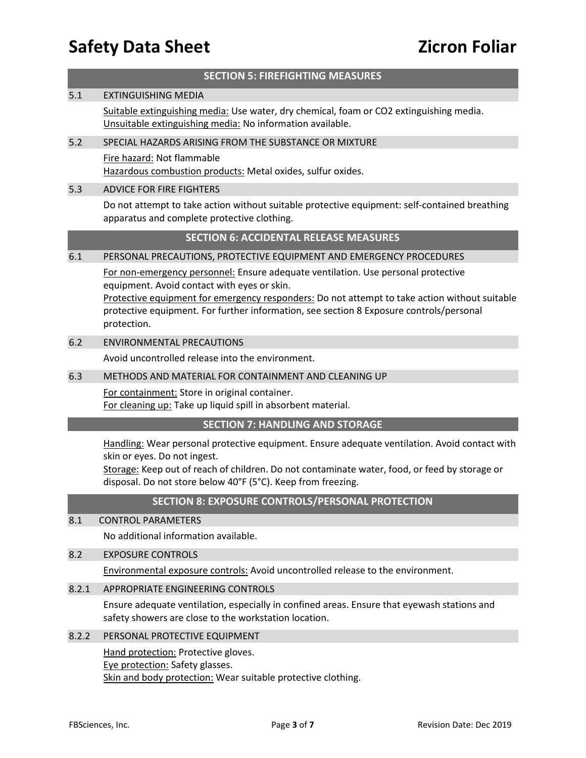#### **SECTION 5: FIREFIGHTING MEASURES**

#### 5.1 EXTINGUISHING MEDIA

Suitable extinguishing media: Use water, dry chemical, foam or CO2 extinguishing media. Unsuitable extinguishing media: No information available.

#### 5.2 SPECIAL HAZARDS ARISING FROM THE SUBSTANCE OR MIXTURE

Fire hazard: Not flammable Hazardous combustion products: Metal oxides, sulfur oxides.

#### 5.3 ADVICE FOR FIRE FIGHTERS

Do not attempt to take action without suitable protective equipment: self-contained breathing apparatus and complete protective clothing.

#### **SECTION 6: ACCIDENTAL RELEASE MEASURES**

#### 6.1 PERSONAL PRECAUTIONS, PROTECTIVE EQUIPMENT AND EMERGENCY PROCEDURES

For non-emergency personnel: Ensure adequate ventilation. Use personal protective equipment. Avoid contact with eyes or skin.

Protective equipment for emergency responders: Do not attempt to take action without suitable protective equipment. For further information, see section 8 Exposure controls/personal protection.

#### 6.2 ENVIRONMENTAL PRECAUTIONS

Avoid uncontrolled release into the environment.

#### 6.3 METHODS AND MATERIAL FOR CONTAINMENT AND CLEANING UP

For containment: Store in original container. For cleaning up: Take up liquid spill in absorbent material.

#### **SECTION 7: HANDLING AND STORAGE**

Handling: Wear personal protective equipment. Ensure adequate ventilation. Avoid contact with skin or eyes. Do not ingest.

Storage: Keep out of reach of children. Do not contaminate water, food, or feed by storage or disposal. Do not store below 40°F (5°C). Keep from freezing.

# **SECTION 8: EXPOSURE CONTROLS/PERSONAL PROTECTION**

#### 8.1 CONTROL PARAMETERS

No additional information available.

### 8.2 EXPOSURE CONTROLS

Environmental exposure controls: Avoid uncontrolled release to the environment.

#### 8.2.1 APPROPRIATE ENGINEERING CONTROLS

Ensure adequate ventilation, especially in confined areas. Ensure that eyewash stations and safety showers are close to the workstation location.

### 8.2.2 PERSONAL PROTECTIVE EQUIPMENT

**Hand protection: Protective gloves.** Eye protection: Safety glasses. Skin and body protection: Wear suitable protective clothing.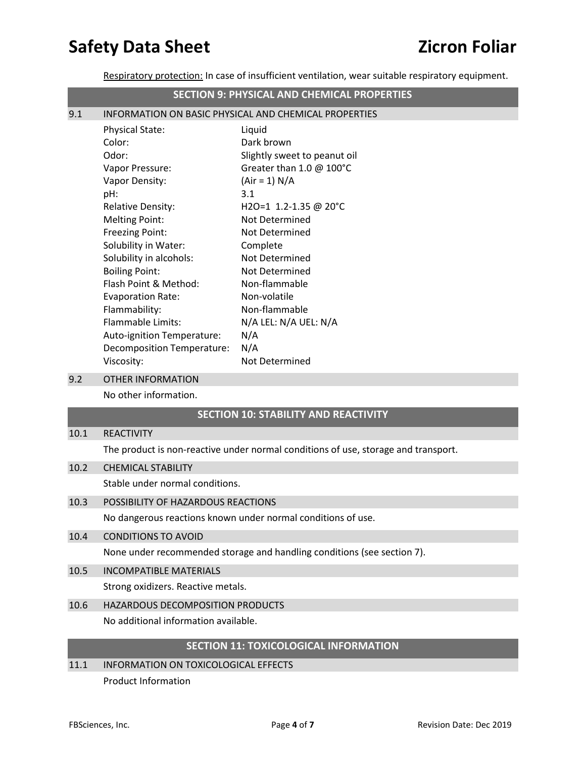Respiratory protection: In case of insufficient ventilation, wear suitable respiratory equipment.

|     | <b>SECTION 9: PHYSICAL AND CHEMICAL PROPERTIES</b>    |                              |
|-----|-------------------------------------------------------|------------------------------|
| 9.1 | INFORMATION ON BASIC PHYSICAL AND CHEMICAL PROPERTIES |                              |
|     | <b>Physical State:</b>                                | Liquid                       |
|     | Color:                                                | Dark brown                   |
|     | Odor:                                                 | Slightly sweet to peanut oil |
|     | Vapor Pressure:                                       | Greater than 1.0 @ 100°C     |
|     | Vapor Density:                                        | $(Air = 1) N/A$              |
|     | pH:                                                   | 3.1                          |
|     | <b>Relative Density:</b>                              | H2O=1 1.2-1.35 @ 20°C        |
|     | <b>Melting Point:</b>                                 | <b>Not Determined</b>        |
|     | <b>Freezing Point:</b>                                | Not Determined               |
|     | Solubility in Water:                                  | Complete                     |
|     | Solubility in alcohols:                               | Not Determined               |
|     | <b>Boiling Point:</b>                                 | Not Determined               |
|     | Flash Point & Method:                                 | Non-flammable                |
|     | <b>Evaporation Rate:</b>                              | Non-volatile                 |
|     | Flammability:                                         | Non-flammable                |
|     | <b>Flammable Limits:</b>                              | N/A LEL: N/A UEL: N/A        |
|     | Auto-ignition Temperature:                            | N/A                          |
|     | Decomposition Temperature:                            | N/A                          |
|     | Viscosity:                                            | Not Determined               |

9.2 OTHER INFORMATION

No other information.

# **SECTION 10: STABILITY AND REACTIVITY**

#### 10.1 REACTIVITY

The product is non-reactive under normal conditions of use, storage and transport.

# 10.2 CHEMICAL STABILITY

Stable under normal conditions.

#### 10.3 POSSIBILITY OF HAZARDOUS REACTIONS

No dangerous reactions known under normal conditions of use.

#### 10.4 CONDITIONS TO AVOID

None under recommended storage and handling conditions (see section 7).

10.5 INCOMPATIBLE MATERIALS

Strong oxidizers. Reactive metals.

# 10.6 HAZARDOUS DECOMPOSITION PRODUCTS

No additional information available.

## **SECTION 11: TOXICOLOGICAL INFORMATION**

# 11.1 INFORMATION ON TOXICOLOGICAL EFFECTS Product Information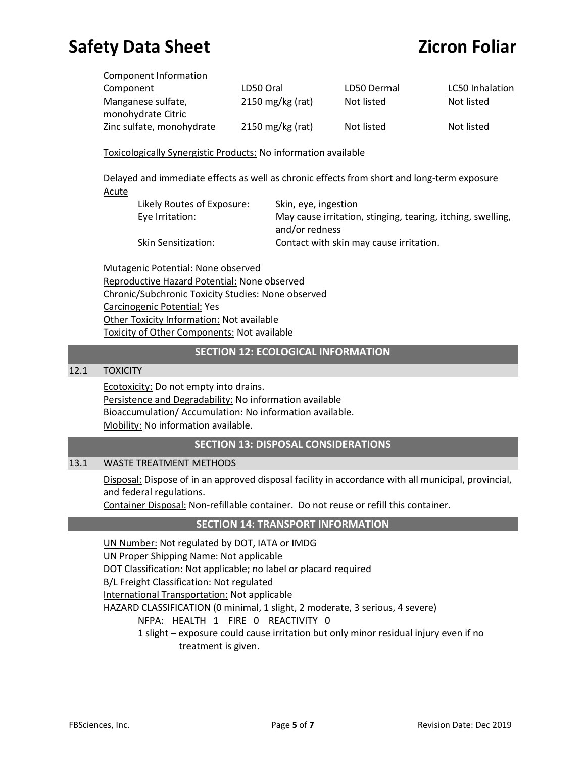| Component Information     |                            |             |                 |
|---------------------------|----------------------------|-------------|-----------------|
| Component                 | LD50 Oral                  | LD50 Dermal | LC50 Inhalation |
| Manganese sulfate,        | $2150 \text{ mg/kg}$ (rat) | Not listed  | Not listed      |
| monohydrate Citric        |                            |             |                 |
| Zinc sulfate, monohydrate | 2150 mg/kg (rat)           | Not listed  | Not listed      |

Toxicologically Synergistic Products: No information available

Delayed and immediate effects as well as chronic effects from short and long-term exposure Acute

| Likely Routes of Exposure: | Skin, eye, ingestion                                        |
|----------------------------|-------------------------------------------------------------|
| Eye Irritation:            | May cause irritation, stinging, tearing, itching, swelling, |
|                            | and/or redness                                              |
| <b>Skin Sensitization:</b> | Contact with skin may cause irritation.                     |

Mutagenic Potential: None observed Reproductive Hazard Potential: None observed Chronic/Subchronic Toxicity Studies: None observed Carcinogenic Potential: Yes Other Toxicity Information: Not available Toxicity of Other Components: Not available

### **SECTION 12: ECOLOGICAL INFORMATION**

#### 12.1 TOXICITY

Ecotoxicity: Do not empty into drains. Persistence and Degradability: No information available Bioaccumulation/ Accumulation: No information available. Mobility: No information available.

## **SECTION 13: DISPOSAL CONSIDERATIONS**

#### 13.1 WASTE TREATMENT METHODS

Disposal: Dispose of in an approved disposal facility in accordance with all municipal, provincial, and federal regulations.

Container Disposal: Non-refillable container. Do not reuse or refill this container.

#### **SECTION 14: TRANSPORT INFORMATION**

UN Number: Not regulated by DOT, IATA or IMDG UN Proper Shipping Name: Not applicable DOT Classification: Not applicable; no label or placard required B/L Freight Classification: Not regulated International Transportation: Not applicable HAZARD CLASSIFICATION (0 minimal, 1 slight, 2 moderate, 3 serious, 4 severe) NFPA: HEALTH 1 FIRE 0 REACTIVITY 0 1 slight – exposure could cause irritation but only minor residual injury even if no

treatment is given.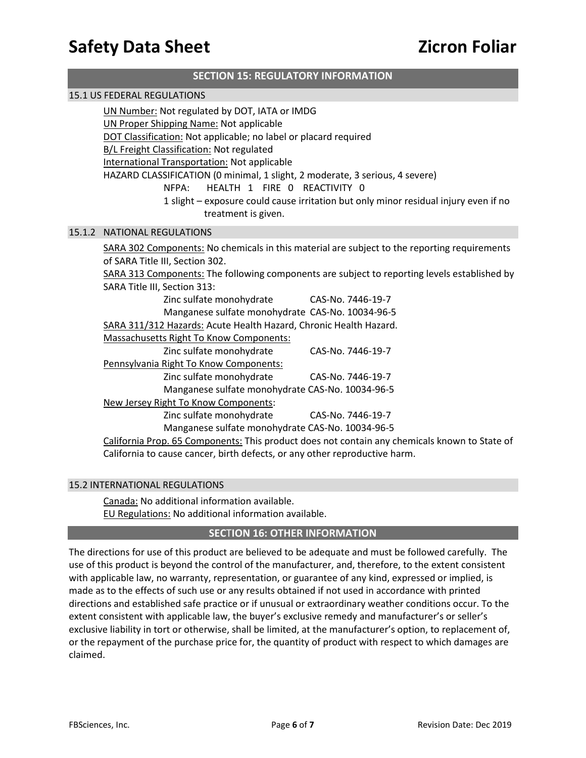| <b>SECTION 15: REGULATORY INFORMATION</b> |                                                                                                                                                                                                                                                                                                                                                                                                                         |                                                                                                                    |
|-------------------------------------------|-------------------------------------------------------------------------------------------------------------------------------------------------------------------------------------------------------------------------------------------------------------------------------------------------------------------------------------------------------------------------------------------------------------------------|--------------------------------------------------------------------------------------------------------------------|
| <b>15.1 US FEDERAL REGULATIONS</b>        |                                                                                                                                                                                                                                                                                                                                                                                                                         |                                                                                                                    |
|                                           | UN Number: Not regulated by DOT, IATA or IMDG<br><b>UN Proper Shipping Name: Not applicable</b><br>DOT Classification: Not applicable; no label or placard required<br><b>B/L Freight Classification: Not regulated</b><br>International Transportation: Not applicable<br>HAZARD CLASSIFICATION (0 minimal, 1 slight, 2 moderate, 3 serious, 4 severe)<br>HEALTH 1 FIRE 0 REACTIVITY 0<br>NFPA:<br>treatment is given. | 1 slight - exposure could cause irritation but only minor residual injury even if no                               |
|                                           | 15.1.2 NATIONAL REGULATIONS                                                                                                                                                                                                                                                                                                                                                                                             |                                                                                                                    |
|                                           | SARA 302 Components: No chemicals in this material are subject to the reporting requirements<br>of SARA Title III, Section 302.<br>SARA Title III, Section 313:<br>Zinc sulfate monohydrate<br>Manganese sulfate monohydrate CAS-No. 10034-96-5<br>SARA 311/312 Hazards: Acute Health Hazard, Chronic Health Hazard.<br><b>Massachusetts Right To Know Components:</b>                                                  | SARA 313 Components: The following components are subject to reporting levels established by<br>CAS-No. 7446-19-7  |
|                                           | Zinc sulfate monohydrate<br>Pennsylvania Right To Know Components:<br>Zinc sulfate monohydrate<br>Manganese sulfate monohydrate CAS-No. 10034-96-5<br>New Jersey Right To Know Components:                                                                                                                                                                                                                              | CAS-No. 7446-19-7<br>CAS-No. 7446-19-7                                                                             |
|                                           | Zinc sulfate monohydrate<br>Manganese sulfate monohydrate CAS-No. 10034-96-5<br>California to cause cancer, birth defects, or any other reproductive harm.                                                                                                                                                                                                                                                              | CAS-No. 7446-19-7<br>California Prop. 65 Components: This product does not contain any chemicals known to State of |

#### 15.2 INTERNATIONAL REGULATIONS

Canada: No additional information available. EU Regulations: No additional information available.

### **SEC**T**ION 16: OTHER INFORMATION**

The directions for use of this product are believed to be adequate and must be followed carefully. The use of this product is beyond the control of the manufacturer, and, therefore, to the extent consistent with applicable law, no warranty, representation, or guarantee of any kind, expressed or implied, is made as to the effects of such use or any results obtained if not used in accordance with printed directions and established safe practice or if unusual or extraordinary weather conditions occur. To the extent consistent with applicable law, the buyer's exclusive remedy and manufacturer's or seller's exclusive liability in tort or otherwise, shall be limited, at the manufacturer's option, to replacement of, or the repayment of the purchase price for, the quantity of product with respect to which damages are claimed.